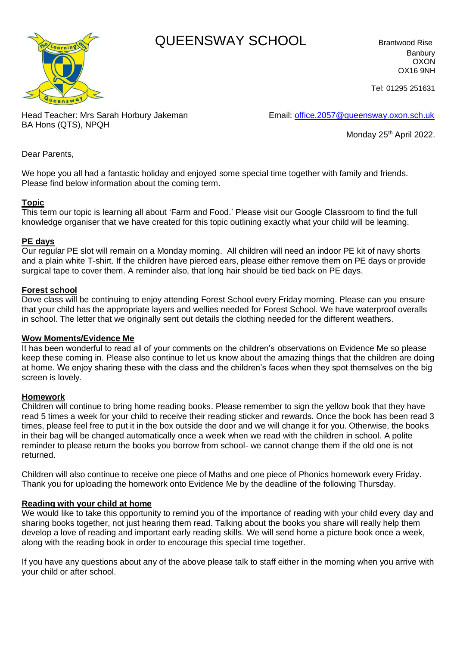# **Corning Way COUEENSWAY SCHOOL** Brantwood Rise



Banbury OXON OX16 9NH

Tel: 01295 251631

Head Teacher: Mrs Sarah Horbury Jakeman Email: [office.2057@queensway.oxon.sch.uk](mailto:office.2057@queensway.oxon.sch.uk) BA Hons (QTS), NPQH

Monday 25<sup>th</sup> April 2022.

Dear Parents,

We hope you all had a fantastic holiday and enjoyed some special time together with family and friends. Please find below information about the coming term.

## **Topic**

This term our topic is learning all about 'Farm and Food.' Please visit our Google Classroom to find the full knowledge organiser that we have created for this topic outlining exactly what your child will be learning.

### **PE days**

Our regular PE slot will remain on a Monday morning. All children will need an indoor PE kit of navy shorts and a plain white T-shirt. If the children have pierced ears, please either remove them on PE days or provide surgical tape to cover them. A reminder also, that long hair should be tied back on PE days.

### **Forest school**

Dove class will be continuing to enjoy attending Forest School every Friday morning. Please can you ensure that your child has the appropriate layers and wellies needed for Forest School. We have waterproof overalls in school. The letter that we originally sent out details the clothing needed for the different weathers.

### **Wow Moments/Evidence Me**

It has been wonderful to read all of your comments on the children's observations on Evidence Me so please keep these coming in. Please also continue to let us know about the amazing things that the children are doing at home. We enjoy sharing these with the class and the children's faces when they spot themselves on the big screen is lovely.

### **Homework**

Children will continue to bring home reading books. Please remember to sign the yellow book that they have read 5 times a week for your child to receive their reading sticker and rewards. Once the book has been read 3 times, please feel free to put it in the box outside the door and we will change it for you. Otherwise, the books in their bag will be changed automatically once a week when we read with the children in school. A polite reminder to please return the books you borrow from school- we cannot change them if the old one is not returned.

Children will also continue to receive one piece of Maths and one piece of Phonics homework every Friday. Thank you for uploading the homework onto Evidence Me by the deadline of the following Thursday.

### **Reading with your child at home**

We would like to take this opportunity to remind you of the importance of reading with your child every day and sharing books together, not just hearing them read. Talking about the books you share will really help them develop a love of reading and important early reading skills. We will send home a picture book once a week, along with the reading book in order to encourage this special time together.

If you have any questions about any of the above please talk to staff either in the morning when you arrive with your child or after school.